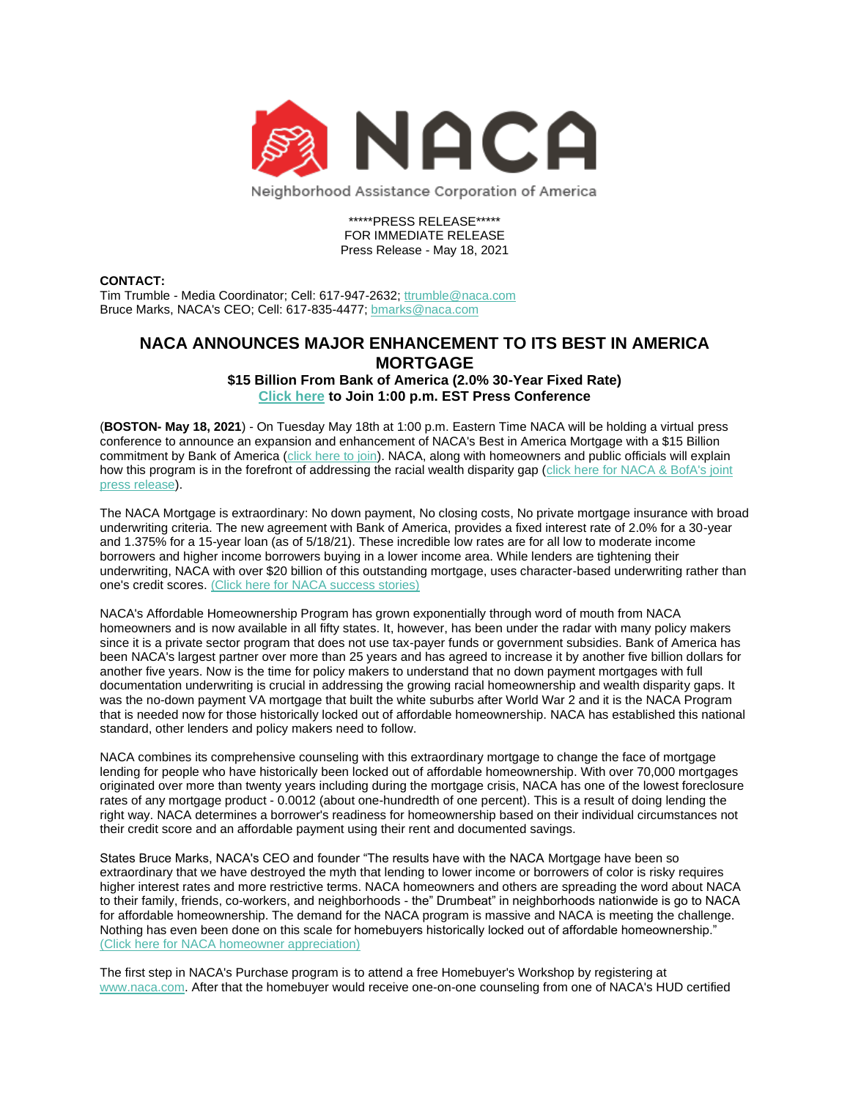

Neighborhood Assistance Corporation of America

\*\*\*\*\*PRESS RELEASE\*\*\*\*\* FOR IMMEDIATE RELEASE Press Release - May 18, 2021

## **CONTACT:**

Tim Trumble - Media Coordinator; Cell: 617-947-2632; [ttrumble@naca.com](mailto:ttrumble@naca.com) Bruce Marks, NACA's CEO; Cell: 617-835-4477; [bmarks@naca.com](mailto:bmarks@naca.com)

## **NACA ANNOUNCES MAJOR ENHANCEMENT TO ITS BEST IN AMERICA MORTGAGE \$15 Billion From Bank of America (2.0% 30-Year Fixed Rate)**

**[Click here](https://naca.zoom.us/j/81210221383) to Join 1:00 p.m. EST Press Conference** 

(**BOSTON- May 18, 2021**) - On Tuesday May 18th at 1:00 p.m. Eastern Time NACA will be holding a virtual press conference to announce an expansion and enhancement of NACA's Best in America Mortgage with a \$15 Billion commitment by Bank of America [\(click here to join\)](https://naca.zoom.us/j/81210221383). NACA, along with homeowners and public officials will explain how this program is in the forefront of addressing the racial wealth disparity gap (click here for NACA & BofA's joint [press release\)](https://www.nacalynx.com/pub/202105.pdf).

The NACA Mortgage is extraordinary: No down payment, No closing costs, No private mortgage insurance with broad underwriting criteria. The new agreement with Bank of America, provides a fixed interest rate of 2.0% for a 30-year and 1.375% for a 15-year loan (as of 5/18/21). These incredible low rates are for all low to moderate income borrowers and higher income borrowers buying in a lower income area. While lenders are tightening their underwriting, NACA with over \$20 billion of this outstanding mortgage, uses character-based underwriting rather than one's credit scores. [\(Click here for NACA success stories\)](https://vimeo.com/405199446)

NACA's Affordable Homeownership Program has grown exponentially through word of mouth from NACA homeowners and is now available in all fifty states. It, however, has been under the radar with many policy makers since it is a private sector program that does not use tax-payer funds or government subsidies. Bank of America has been NACA's largest partner over more than 25 years and has agreed to increase it by another five billion dollars for another five years. Now is the time for policy makers to understand that no down payment mortgages with full documentation underwriting is crucial in addressing the growing racial homeownership and wealth disparity gaps. It was the no-down payment VA mortgage that built the white suburbs after World War 2 and it is the NACA Program that is needed now for those historically locked out of affordable homeownership. NACA has established this national standard, other lenders and policy makers need to follow.

NACA combines its comprehensive counseling with this extraordinary mortgage to change the face of mortgage lending for people who have historically been locked out of affordable homeownership. With over 70,000 mortgages originated over more than twenty years including during the mortgage crisis, NACA has one of the lowest foreclosure rates of any mortgage product - 0.0012 (about one-hundredth of one percent). This is a result of doing lending the right way. NACA determines a borrower's readiness for homeownership based on their individual circumstances not their credit score and an affordable payment using their rent and documented savings.

States Bruce Marks, NACA's CEO and founder "The results have with the NACA Mortgage have been so extraordinary that we have destroyed the myth that lending to lower income or borrowers of color is risky requires higher interest rates and more restrictive terms. NACA homeowners and others are spreading the word about NACA to their family, friends, co-workers, and neighborhoods - the" Drumbeat" in neighborhoods nationwide is go to NACA for affordable homeownership. The demand for the NACA program is massive and NACA is meeting the challenge. Nothing has even been done on this scale for homebuyers historically locked out of affordable homeownership." [\(Click here for NACA homeowner appreciation\)](https://vimeo.com/480806967)

The first step in NACA's Purchase program is to attend a free Homebuyer's Workshop by registering at [www.naca.com.](http://www.naca.com/) After that the homebuyer would receive one-on-one counseling from one of NACA's HUD certified